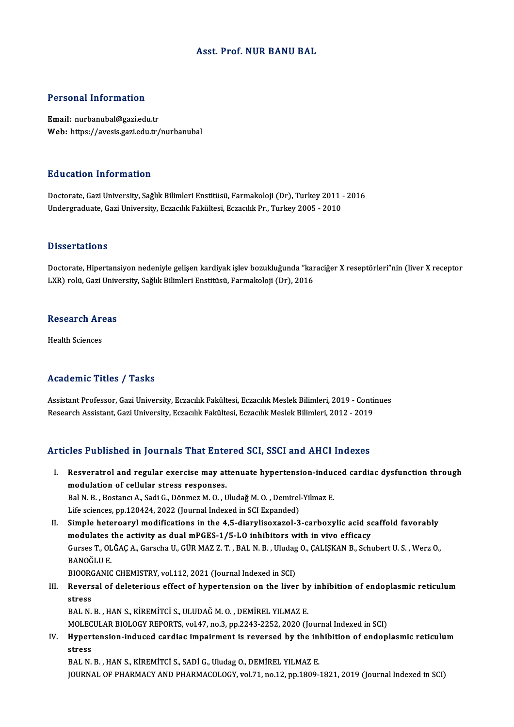### Asst. Prof.NUR BANU BAL

### Personal Information

Email: nurbanubal@gazi.edu.tr Web: https://avesis.gazi.edu.tr/nurbanubal

### Education Information

Education Information<br>Doctorate, Gazi University, Sağlık Bilimleri Enstitüsü, Farmakoloji (Dr), Turkey 2011 - 2016<br>Undergraduate Cari University, Essasilik Fakültesi, Essasilik Pr., Turkey 2005 - 2010 undergraduat in serimateren<br>Doctorate, Gazi University, Sağlık Bilimleri Enstitüsü, Farmakoloji (Dr), Turkey 2011<br>Undergraduate, Gazi University, Eczacılık Fakültesi, Eczacılık Pr., Turkey 2005 - 2010 Undergraduate, Gazi University, Eczacılık Fakültesi, Eczacılık Pr., Turkey 2005 - 2010<br>Dissertations

Dissertations<br>Doctorate, Hipertansiyon nedeniyle gelişen kardiyak işlev bozukluğunda "karaciğer X reseptörleri"nin (liver X receptor<br>UYP) relü Ceri University Seğlık Bilimleri Enstitüsü, Fermakaleji (Dr), 2016 LYSSSY tatrons<br>Doctorate, Hipertansiyon nedeniyle gelişen kardiyak işlev bozukluğunda "kar<br>LXR) rolü, Gazi University, Sağlık Bilimleri Enstitüsü, Farmakoloji (Dr), 2016

# Lxk) rolu, Gazi Unive<br>Research Areas R<mark>esearch Ar</mark><br>Health Sciences

# Academic Titles / Tasks

Academic Titles / Tasks<br>Assistant Professor, Gazi University, Eczacılık Fakültesi, Eczacılık Meslek Bilimleri, 2019 - Continues<br>Researsh Assistant, Gazi University, Eczacılık Fakültesi, Eczacılık Meslek Bilimleri, 2012, 20 rreata enne "reree" y" raene<br>Assistant Professor, Gazi University, Eczacılık Fakültesi, Eczacılık Meslek Bilimleri, 2019 - Conti<br>Research Assistant, Gazi University, Eczacılık Fakültesi, Eczacılık Meslek Bilimleri, 2012 - Research Assistant, Gazi University, Eczacılık Fakültesi, Eczacılık Meslek Bilimleri, 2012 - 2019<br>Articles Published in Journals That Entered SCI, SSCI and AHCI Indexes

- rticles Published in Journals That Entered SCI, SSCI and AHCI Indexes<br>I. Resveratrol and regular exercise may attenuate hypertension-induced cardiac dysfunction through<br>modulation of callular stress responses modulation of cellular stress responses.<br>
Resveratrol and regular exercise may at<br>
modulation of cellular stress responses. Resveratrol and regular exercise may attenuate hypertension-indue<br>modulation of cellular stress responses.<br>Bal N. B., Bostancı A., Sadi G., Dönmez M. O., Uludağ M. O., Demirel-Yilmaz E.<br>Life sciences nn 120424, 2022 (Journ modulation of cellular stress responses.<br>Bal N. B. , Bostancı A., Sadi G., Dönmez M. O. , Uludağ M. O. , Demirel<br>Life sciences, pp.120424, 2022 (Journal Indexed in SCI Expanded)<br>Simple beteroaryl modifications in the 4 E d Bal N. B., Bostancı A., Sadi G., Dönmez M. O., Uludağ M. O., Demirel-Yilmaz E.<br>Life sciences, pp.120424, 2022 (Journal Indexed in SCI Expanded)<br>II. Simple heteroaryl modifications in the 4,5-diarylisoxazol-3-carboxylic aci
- Life sciences, pp.120424, 2022 (Journal Indexed in SCI Expanded)<br>Simple heteroaryl modifications in the 4,5-diarylisoxazol-3-carboxylic acid so<br>modulates the activity as dual mPGES-1/5-LO inhibitors with in vivo efficacy<br>C Gurses T., OLĞAÇ A., Garscha U., GÜR MAZ Z. T. , BAL N. B. , Uludag O., ÇALIŞKAN B., Schubert U. S. , Werz O.,<br>BANOĞLU E. modulates the activity as dual mPGES-1/5-LO inhibitors with in vivo efficacy Gurses T., OLĞAÇ A., Garscha U., GÜR MAZ Z. T. , BAL N. B. , Uludag<br>BANOĞLU E.<br>BIOORGANIC CHEMISTRY, vol.112, 2021 (Journal Indexed in SCI)<br>Boyersel of deleterious effect of bunertensian on the liver
- III. Reversal of deleterious effect of hypertension on the liver by inhibition of endoplasmic reticulum<br>stress BIOOR<br>Revers<br>stress<br>PAL N BAL N.B., HAN S., KİREMİTCİ S., ULUDAĞ M.O., DEMİREL YILMAZ E. stress<br>BAL N. B. , HAN S., KİREMİTCİ S., ULUDAĞ M. O. , DEMİREL YILMAZ E.<br>MOLECULAR BIOLOGY REPORTS, vol.47, no.3, pp.2243-2252, 2020 (Journal Indexed in SCI)<br>Hunortangian indused sardias impairment is reversed by the inhi

# IV. Hypertension-induced cardiac impairment is reversed by the inhibition of endoplasmic reticulum MOLEC<br><mark>Hyper</mark>t<br>stress<br>PAL N

BAL N. B., HAN S., KİREMİTCİ S., SADİ G., Uludag O., DEMİREL YILMAZ E. JOURNAL OF PHARMACY AND PHARMACOLOGY, vol.71, no.12, pp.1809-1821, 2019 (Journal Indexed in SCI)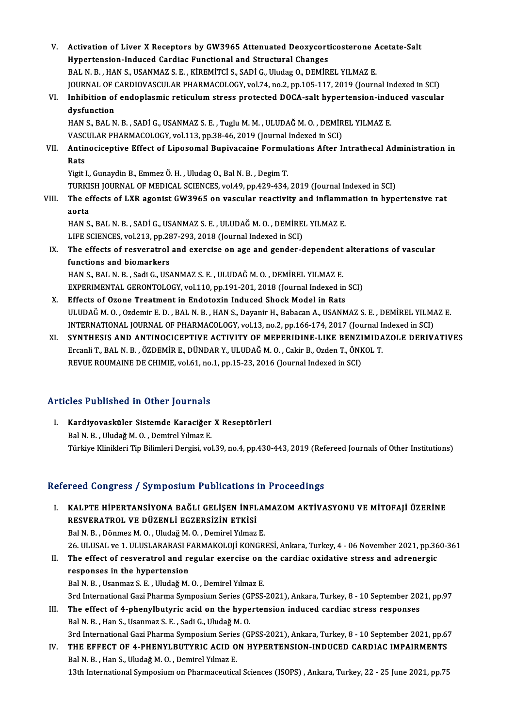- V. Activation of Liver X Receptors by GW3965 Attenuated Deoxycorticosterone Acetate-Salt Activation of Liver X Receptors by GW3965 Attenuated Deoxycort<br>Hypertension-Induced Cardiac Functional and Structural Changes<br>RALN B - HANS, USANMAZ S.E., KIREMITCLS, SADLC, Ulydez O. DEMIR Activation of Liver X Receptors by GW3965 Attenuated Deoxycorticosterone A<br>Hypertension-Induced Cardiac Functional and Structural Changes<br>BAL N. B. , HAN S., USANMAZ S. E. , KİREMİTCİ S., SADİ G., Uludag O., DEMİREL YILMAZ Hypertension-Induced Cardiac Functional and Structural Changes<br>BAL N. B. , HAN S., USANMAZ S. E. , KİREMİTCİ S., SADİ G., Uludag O., DEMİREL YILMAZ E.<br>JOURNAL OF CARDIOVASCULAR PHARMACOLOGY, vol.74, no.2, pp.105-117, 2019 BAL N. B. , HAN S., USANMAZ S. E. , KİREMİTCİ S., SADİ G., Uludag O., DEMİREL YILMAZ E.<br>JOURNAL OF CARDIOVASCULAR PHARMACOLOGY, vol.74, no.2, pp.105-117, 2019 (Journal Indexed in SCI)<br>VI. Inhibition of endoplasmic reticulu
- JOURNAL OF (<br>Inhibition of<br>dysfunction<br>HAN S. RAI N Inhibition of endoplasmic reticulum stress protected DOCA-salt hypertension-indu<br>dysfunction<br>HAN S., BAL N. B. , SADİ G., USANMAZ S. E. , Tuglu M. M. , ULUDAĞ M. O. , DEMİREL YILMAZ E.<br>VASCULAR RHARMAÇOLOCY vol.113. nn 39.

dysfunction<br>HAN S., BAL N. B. , SADİ G., USANMAZ S. E. , Tuglu M. M. , ULUDAĞ M. O. , DEMİR<br>VASCULAR PHARMACOLOGY, vol.113, pp.38-46, 2019 (Journal Indexed in SCI)<br>Antinosisentive Effect of Linesemal Bunivesaine Fermulatio VASCULAR PHARMACOLOGY, vol.113, pp.38-46, 2019 (Journal Indexed in SCI)

VII. Antinociceptive Effect of Liposomal Bupivacaine Formulations After Intrathecal Administration in<br>Rats

Yigit I.,GunaydinB.,EmmezÖ.H. ,UludagO.,BalN.B. ,DegimT. TURKISH JOURNAL OF MEDICAL SCIENCES, vol.49, pp.429-434, 2019 (Journal Indexed in SCI) Yigit I., Gunaydin B., Emmez Ö. H. , Uludag O., Bal N. B. , Degim T.<br>TURKISH JOURNAL OF MEDICAL SCIENCES, vol.49, pp.429-434, 2019 (Journal Indexed in SCI)<br>VIII. The effects of LXR agonist GW3965 on vascular reactivity

# TURKI:<br>The ei<br>aorta<br>HAN S The effects of LXR agonist GW3965 on vascular reactivity and inflamm<br>aorta<br>HAN S., BAL N. B. , SADİ G., USANMAZ S. E. , ULUDAĞ M. O. , DEMİREL YILMAZ E.<br>LIEE SCIENCES .val 212. an 297.292.2019 (Journal Indoved in SCD.

aorta<br>HAN S., BAL N. B. , SADİ G., USANMAZ S. E. , ULUDAĞ M. O. , DEMİREI<br>LIFE SCIENCES, vol.213, pp.287-293, 2018 (Journal Indexed in SCI)<br>The effects of resucratral and evergise en sge and gander d

## HAN S., BAL N. B. , SADİ G., USANMAZ S. E. , ULUDAĞ M. O. , DEMİREL YILMAZ E.<br>LIFE SCIENCES, vol.213, pp.287-293, 2018 (Journal Indexed in SCI)<br>IX. The effects of resveratrol and exercise on age and gender-dependent altera LIFE SCIENCES, vol.213, pp.28<br>The effects of resveratrol<br>functions and biomarkers The effects of resveratrol and exercise on age and gender-dependent<br>functions and biomarkers<br>HAN S., BAL N. B. , Sadi G., USANMAZ S. E. , ULUDAĞ M. O. , DEMİREL YILMAZ E.<br>EXPERIMENTAL CERONTOLOCY vol.110 nn.191.201.2012 (J functions and biomarkers<br>HAN S., BAL N. B. , Sadi G., USANMAZ S. E. , ULUDAĞ M. O. , DEMİREL YILMAZ E.<br>EXPERIMENTAL GERONTOLOGY, vol.110, pp.191-201, 2018 (Journal Indexed in SCI)<br>Effects of Ozone Treatment in Endetevin In

- HAN S., BAL N. B., Sadi G., USANMAZ S. E., ULUDAĞ M. O., DEMİREL YILMAZ E.<br>EXPERIMENTAL GERONTOLOGY, vol.110, pp.191-201, 2018 (Journal Indexed in<br>X. Effects of Ozone Treatment in Endotoxin Induced Shock Model in Rats<br>III X. Effects of Ozone Treatment in Endotoxin Induced Shock Model in Rats<br>ULUDAĞM.O., Ozdemir E.D., BALN.B., HAN S., Dayanir H., Babacan A., USANMAZ S.E., DEMİREL YILMAZ E. Effects of Ozone Treatment in Endotoxin Induced Shock Model in Rats<br>ULUDAĞ M. O. , Ozdemir E. D. , BAL N. B. , HAN S., Dayanir H., Babacan A., USANMAZ S. E. , DEMİREL YILMA<br>INTERNATIONAL JOURNAL OF PHARMACOLOGY, vol.13, no
- XI. SYNTHESIS AND ANTINOCICEPTIVE ACTIVITY OF MEPERIDINE-LIKE BENZIMIDAZOLE DERIVATIVES<br>Ercanli T., BAL N. B., ÖZDEMİR E., DÜNDAR Y., ULUDAĞ M. O., Cakir B., Ozden T., ÖNKOL T. INTERNATIONAL JOURNAL OF PHARMACOLOGY, vol.13, no.2, pp.166-174, 2017 (Journal I.<br>SYNTHESIS AND ANTINOCICEPTIVE ACTIVITY OF MEPERIDINE-LIKE BENZIMIDA<br>Ercanli T., BAL N. B. , ÖZDEMİR E., DÜNDAR Y., ULUDAĞ M. O. , Cakir B., REVUE ROUMAINE DE CHIMIE, vol.61, no.1, pp.15-23, 2016 (Journal Indexed in SCI)

## Articles Published in Other Journals

rticles Published in Other Journals<br>I. Kardiyovasküler Sistemde Karaciğer X Reseptörleri<br>Ral N. B. Uludağ M. O. Damirel Yılmaz E Stes 1 denenca in other journals<br>Kardiyovasküler Sistemde Karaciğer<br>Bal N. B. , Uludağ M. O. , Demirel Yılmaz E.<br>Türkiye Klinikleri Tin Bilimleri Dergisi ve Bal N. B. , Uludağ M. O. , Demirel Yılmaz E.<br>Türkiye Klinikleri Tip Bilimleri Dergisi, vol.39, no.4, pp.430-443, 2019 (Refereed Journals of Other Institutions)

## Refereed Congress / Symposium Publications in Proceedings

efereed Congress / Symposium Publications in Proceedings<br>I. KALPTE HİPERTANSİYONA BAĞLI GELİŞEN İNFLAMAZOM AKTİVASYONU VE MİTOFAJİ ÜZERİNE<br>RESVERATROL VE DÜZENLİ ECZERSİZİN ETKİSİ roca döngröss 7 symposium i usilomensis<br>KALPTE HİPERTANSİYONA BAĞLI GELİŞEN İNFL<br>RESVERATROL VE DÜZENLİ EGZERSİZİN ETKİSİ KALPTE HİPERTANSİYONA BAĞLI GELİŞEN İNFLAI<br>RESVERATROL VE DÜZENLİ EGZERSİZİN ETKİSİ<br>Bal N. B. , Dönmez M. O. , Uludağ M. O. , Demirel Yılmaz E.<br>26 HI USAL ve 1 HI USLARASI EARMAKOLOU KONGR RESVERATROL VE DÜZENLİ EGZERSİZİN ETKİSİ<br>Bal N. B. , Dönmez M. O. , Uludağ M. O. , Demirel Yılmaz E.<br>26. ULUSAL ve 1. ULUSLARARASI FARMAKOLOJİ KONGRESİ, Ankara, Turkey, 4 - 06 November 2021, pp.360-361<br>The effect of resucr Bal N. B., Dönmez M. O., Uludağ M. O., Demirel Yılmaz E.<br>26. ULUSAL ve 1. ULUSLARARASI FARMAKOLOJİ KONGRESİ, Ankara, Turkey, 4 - 06 November 2021, pp.36<br>II. The effect of resveratrol and regular exercise on the cardiac 26 ULUSAL ve 1 ULUSLARARASI F<br>The effect of resveratrol and responses in the hypertension<br>Pel N-P - Heapmag S-E - Undež M II. The effect of resveratrol and regular exercise on the cardiac oxidative stress and adrenergic<br>responses in the hypertension<br>Bal N. B., Usanmaz S. E., Uludağ M. O., Demirel Yılmaz E. 3rd International Gazi Pharma Symposium Series (GPSS-2021), Ankara, Turkey, 8 - 10 September 2021, pp.97 Bal N. B., Usanmaz S. E., Uludağ M. O., Demirel Yılmaz E.<br>3rd International Gazi Pharma Symposium Series (GPSS-2021), Ankara, Turkey, 8 - 10 September 202<br>III. The effect of 4-phenylbutyric acid on the hypertension induced 3rd International Gazi Pharma Symposium Series (G.<br>The effect of 4-phenylbutyric acid on the hype<br>Bal N. B., Han S., Usanmaz S. E., Sadi G., Uludağ M. O.<br>2rd International Cari Pharma Symposium Series (G.

The effect of 4-phenylbutyric acid on the hypertension induced cardiac stress responses<br>Bal N. B. , Han S., Usanmaz S. E. , Sadi G., Uludağ M. O.<br>3rd International Gazi Pharma Symposium Series (GPSS-2021), Ankara, Turkey, Bal N. B., Han S., Usanmaz S. E., Sadi G., Uludağ M. O.<br>3rd International Gazi Pharma Symposium Series (GPSS-2021), Ankara, Turkey, 8 - 10 September 2021, pp.6<br>IV. THE EFFECT OF 4-PHENYLBUTYRIC ACID ON HYPERTENSION-INDUCED 3rd International Gazi Pharma Symposium Series<br>THE EFFECT OF 4-PHENYLBUTYRIC ACID O<br>Bal N. B., Han S., Uludağ M. O., Demirel Yılmaz E.<br>12th International Symposium on Pharmaseutica 13th International Symposium on Pharmaceutical Sciences (ISOPS), Ankara, Turkey, 22 - 25 June 2021, pp.75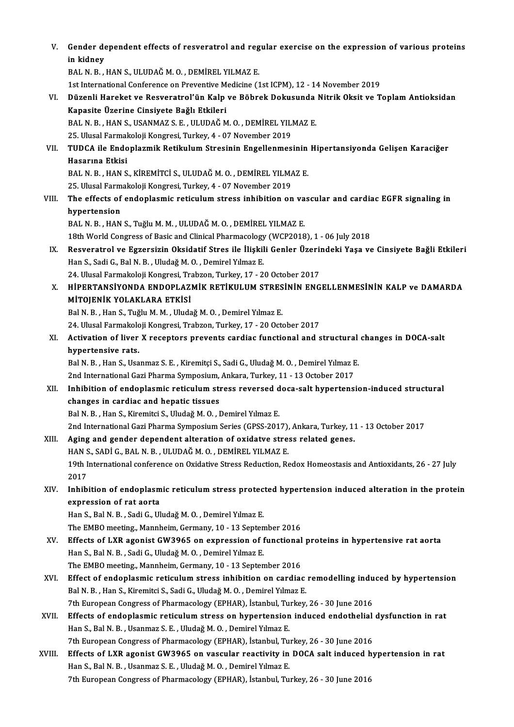| V.     | Gender dependent effects of resveratrol and regular exercise on the expression of various proteins            |
|--------|---------------------------------------------------------------------------------------------------------------|
|        | in kidney                                                                                                     |
|        | BAL N. B., HAN S., ULUDAĞ M. O., DEMİREL YILMAZ E.                                                            |
|        | 1st International Conference on Preventive Medicine (1st ICPM), 12 - 14 November 2019                         |
| VI.    | Düzenli Hareket ve Resveratrol'ün Kalp ve Böbrek Dokusunda Nitrik Oksit ve Toplam Antioksidan                 |
|        | Kapasite Üzerine Cinsiyete Bağlı Etkileri                                                                     |
|        | BAL N. B., HAN S., USANMAZ S. E., ULUDAĞ M. O., DEMİREL YILMAZ E.                                             |
|        | 25. Ulusal Farmakoloji Kongresi, Turkey, 4 - 07 November 2019                                                 |
| VII.   | TUDCA ile Endoplazmik Retikulum Stresinin Engellenmesinin Hipertansiyonda Gelişen Karaciğer                   |
|        | Hasarına Etkisi                                                                                               |
|        | BAL N. B., HAN S., KİREMİTCİ S., ULUDAĞ M. O., DEMİREL YILMAZ E.                                              |
|        | 25. Ulusal Farmakoloji Kongresi, Turkey, 4 - 07 November 2019                                                 |
| VIII.  | The effects of endoplasmic reticulum stress inhibition on vascular and cardiac EGFR signaling in              |
|        | hypertension                                                                                                  |
|        | BAL N. B., HAN S., Tuğlu M. M., ULUDAĞ M. O., DEMİREL YILMAZ E.                                               |
|        | 18th World Congress of Basic and Clinical Pharmacology (WCP2018), 1 - 06 July 2018                            |
| IX.    | Resveratrol ve Egzersizin Oksidatif Stres ile İlişkili Genler Üzerindeki Yaşa ve Cinsiyete Bağli Etkileri     |
|        | Han S., Sadi G., Bal N. B., Uludağ M. O., Demirel Yılmaz E.                                                   |
|        | 24. Ulusal Farmakoloji Kongresi, Trabzon, Turkey, 17 - 20 October 2017                                        |
| Χ.     | HIPERTANSIYONDA ENDOPLAZMIK RETIKULUM STRESININ ENGELLENMESININ KALP ve DAMARDA                               |
|        | MİTOJENİK YOLAKLARA ETKİSİ                                                                                    |
|        | Bal N. B., Han S., Tuğlu M. M., Uludağ M. O., Demirel Yılmaz E.                                               |
|        | 24. Ulusal Farmakoloji Kongresi, Trabzon, Turkey, 17 - 20 October 2017                                        |
| XI.    | Activation of liver X receptors prevents cardiac functional and structural changes in DOCA-salt               |
|        | hypertensive rats.                                                                                            |
|        | Bal N. B., Han S., Usanmaz S. E., Kiremitçi S., Sadi G., Uludağ M. O., Demirel Yılmaz E.                      |
|        | 2nd International Gazi Pharma Symposium, Ankara, Turkey, 11 - 13 October 2017                                 |
| XII.   | Inhibition of endoplasmic reticulum stress reversed doca-salt hypertension-induced structural                 |
|        | changes in cardiac and hepatic tissues                                                                        |
|        | Bal N. B., Han S., Kiremitci S., Uludağ M. O., Demirel Yılmaz E.                                              |
|        | 2nd International Gazi Pharma Symposium Series (GPSS-2017), Ankara, Turkey, 11 - 13 October 2017              |
| XIII.  | Aging and gender dependent alteration of oxidatve stress related genes.                                       |
|        | HAN S., SADİ G., BAL N. B., ULUDAĞ M. O., DEMİREL YILMAZ E.                                                   |
|        | 19th International conference on Oxidative Stress Reduction, Redox Homeostasis and Antioxidants, 26 - 27 July |
|        | 2017                                                                                                          |
| XIV.   | Inhibition of endoplasmic reticulum stress protected hypertension induced alteration in the protein           |
|        | expression of rat aorta                                                                                       |
|        | Han S., Bal N. B., Sadi G., Uludağ M. O., Demirel Yılmaz E.                                                   |
|        | The EMBO meeting., Mannheim, Germany, 10 - 13 September 2016                                                  |
| XV.    | Effects of LXR agonist GW3965 on expression of functional proteins in hypertensive rat aorta                  |
|        | Han S., Bal N. B., Sadi G., Uludağ M. O., Demirel Yılmaz E.                                                   |
|        | The EMBO meeting., Mannheim, Germany, 10 - 13 September 2016                                                  |
| XVI.   | Effect of endoplasmic reticulum stress inhibition on cardiac remodelling induced by hypertension              |
|        | Bal N. B., Han S., Kiremitci S., Sadi G., Uludağ M. O., Demirel Yılmaz E.                                     |
|        | 7th European Congress of Pharmacology (EPHAR), İstanbul, Turkey, 26 - 30 June 2016                            |
| XVII.  | Effects of endoplasmic reticulum stress on hypertension induced endothelial dysfunction in rat                |
|        | Han S., Bal N. B., Usanmaz S. E., Uludağ M. O., Demirel Yılmaz E.                                             |
|        | 7th European Congress of Pharmacology (EPHAR), İstanbul, Turkey, 26 - 30 June 2016                            |
| XVIII. | Effects of LXR agonist GW3965 on vascular reactivity in DOCA salt induced hypertension in rat                 |
|        | Han S., Bal N. B., Usanmaz S. E., Uludağ M. O., Demirel Yılmaz E.                                             |
|        | 7th European Congress of Pharmacology (EPHAR), İstanbul, Turkey, 26 - 30 June 2016                            |